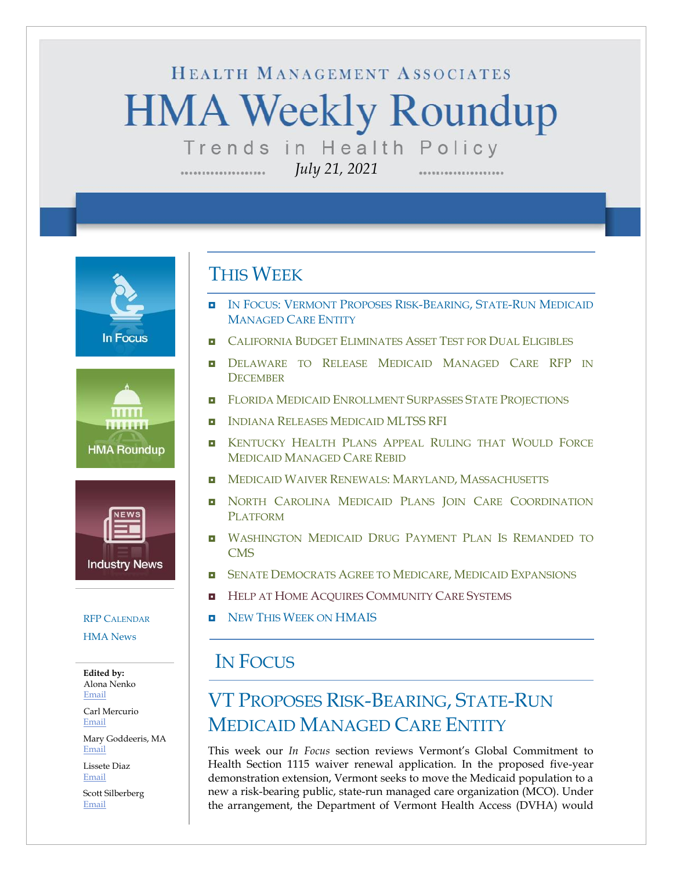# HEALTH MANAGEMENT ASSOCIATES **HMA Weekly Roundup** Trends in Health Policy

*July 21, 2021*

**In Focus** 





#### RFP C[ALENDAR](#page-10-0)

[HMA News](#page-11-0)

**Edited by:** Alona Nenko [Email](mailto:anenko@healthmanagement.com)

Carl Mercurio [Email](mailto:cmercurio@healthmanagement.com)

Mary Goddeeris, MA [Email](mailto:mgoddeeris@healthmanagement.com)

Lissete Diaz [Email](mailto:ldiaz@healthmanagement.com)

Scott Silberberg [Email](mailto:ssilberberg@healthmanagement.com)

#### THIS WEEK

- IN FOCUS: VERMONT P[ROPOSES](#page-0-0) RISK-BEARING, STATE-RUN MEDICAID M[ANAGED](#page-0-0) CARE ENTITY
- **EXECUTE: C[ALIFORNIA](#page-3-0) BUDGET ELIMINATES ASSET TEST FOR DUAL ELIGIBLES**
- **D[ELAWARE TO](#page-3-1) RELEASE MEDICAID MANAGED CARE RFP IN D[ECEMBER](#page-3-1)**
- **E** FLORIDA MEDICAID E[NROLLMENT](#page-4-0) SURPASSES STATE PROJECTIONS
- **INDIANA RELEASES MEDICAID [MLTSS](#page-4-1) RFI**
- **E** KENTUCKY HEALTH PLANS APPEAL R[ULING THAT](#page-4-2) WOULD FORCE MEDICAID M[ANAGED](#page-4-2) CARE REBID
- **NEDICAID WAIVER RENEWALS: MARYLAND, M[ASSACHUSETTS](#page-5-0)**
- **NORTH CAROLINA MEDICAID PLANS JOIN CARE COORDINATION** P[LATFORM](#page-5-1)
- **U WASHINGTON MEDICAID DRUG PAYMENT PLAN IS REMANDED TO [CMS](#page-6-0)**
- **E** SENATE D[EMOCRATS](#page-6-1) AGREE TO MEDICARE, MEDICAID EXPANSIONS
- **HELP AT HOME ACQUIRES C[OMMUNITY](#page-9-0) CARE SYSTEMS**
- NEW THIS WEEK ON [HMAIS](#page-11-0)

#### IN FOCUS

# <span id="page-0-0"></span>VT PROPOSES RISK-BEARING, STATE-RUN MEDICAID MANAGED CARE ENTITY

This week our *In Focus* section reviews Vermont's Global Commitment to Health Section 1115 waiver renewal application. In the proposed five-year demonstration extension, Vermont seeks to move the Medicaid population to a new a risk-bearing public, state-run managed care organization (MCO). Under the arrangement, the Department of Vermont Health Access (DVHA) would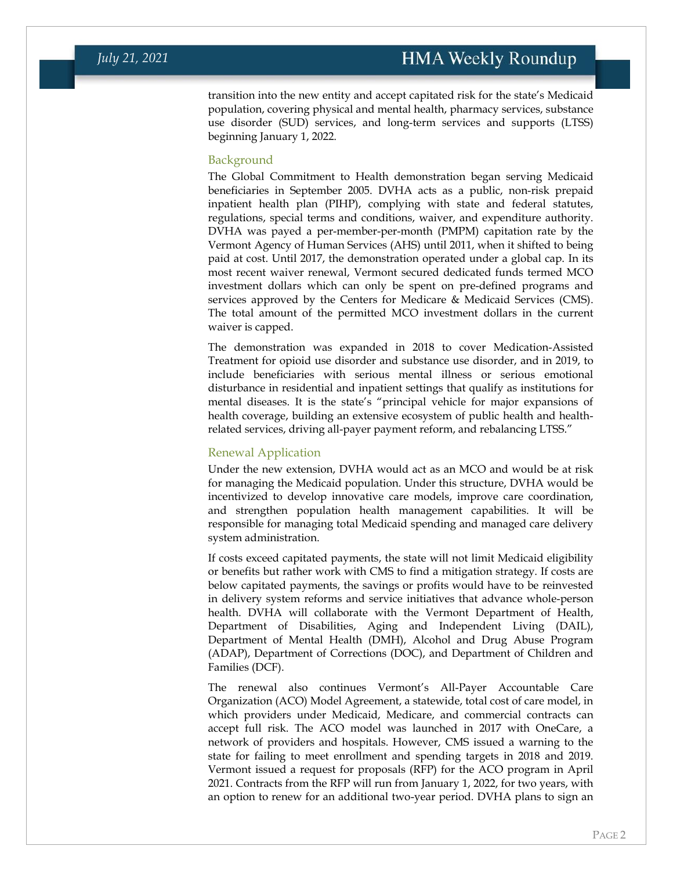transition into the new entity and accept capitated risk for the state's Medicaid population, covering physical and mental health, pharmacy services, substance use disorder (SUD) services, and long-term services and supports (LTSS) beginning January 1, 2022.

#### Background

The Global Commitment to Health demonstration began serving Medicaid beneficiaries in September 2005. DVHA acts as a public, non-risk prepaid inpatient health plan (PIHP), complying with state and federal statutes, regulations, special terms and conditions, waiver, and expenditure authority. DVHA was payed a per-member-per-month (PMPM) capitation rate by the Vermont Agency of Human Services (AHS) until 2011, when it shifted to being paid at cost. Until 2017, the demonstration operated under a global cap. In its most recent waiver renewal, Vermont secured dedicated funds termed MCO investment dollars which can only be spent on pre-defined programs and services approved by the Centers for Medicare & Medicaid Services (CMS). The total amount of the permitted MCO investment dollars in the current waiver is capped.

The demonstration was expanded in 2018 to cover Medication-Assisted Treatment for opioid use disorder and substance use disorder, and in 2019, to include beneficiaries with serious mental illness or serious emotional disturbance in residential and inpatient settings that qualify as institutions for mental diseases. It is the state's "principal vehicle for major expansions of health coverage, building an extensive ecosystem of public health and healthrelated services, driving all-payer payment reform, and rebalancing LTSS."

#### Renewal Application

Under the new extension, DVHA would act as an MCO and would be at risk for managing the Medicaid population. Under this structure, DVHA would be incentivized to develop innovative care models, improve care coordination, and strengthen population health management capabilities. It will be responsible for managing total Medicaid spending and managed care delivery system administration.

If costs exceed capitated payments, the state will not limit Medicaid eligibility or benefits but rather work with CMS to find a mitigation strategy. If costs are below capitated payments, the savings or profits would have to be reinvested in delivery system reforms and service initiatives that advance whole-person health. DVHA will collaborate with the Vermont Department of Health, Department of Disabilities, Aging and Independent Living (DAIL), Department of Mental Health (DMH), Alcohol and Drug Abuse Program (ADAP), Department of Corrections (DOC), and Department of Children and Families (DCF).

The renewal also continues Vermont's All-Payer Accountable Care Organization (ACO) Model Agreement, a statewide, total cost of care model, in which providers under Medicaid, Medicare, and commercial contracts can accept full risk. The ACO model was launched in 2017 with OneCare, a network of providers and hospitals. However, CMS issued a warning to the state for failing to meet enrollment and spending targets in 2018 and 2019. Vermont issued a request for proposals (RFP) for the ACO program in April 2021. Contracts from the RFP will run from January 1, 2022, for two years, with an option to renew for an additional two-year period. DVHA plans to sign an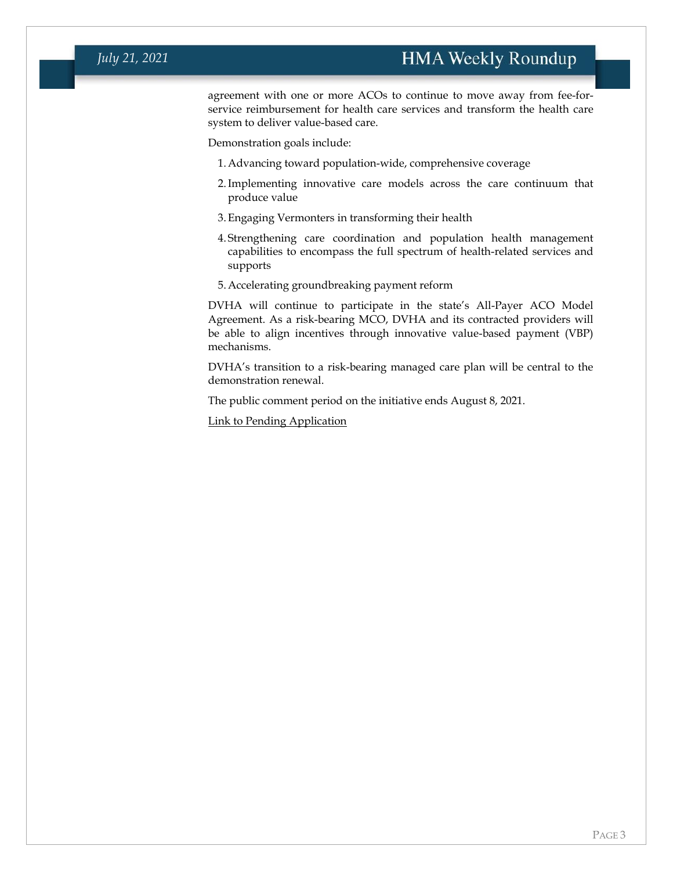#### *July 21, 2021*

agreement with one or more ACOs to continue to move away from fee-forservice reimbursement for health care services and transform the health care system to deliver value-based care.

Demonstration goals include:

- 1.Advancing toward population-wide, comprehensive coverage
- 2.Implementing innovative care models across the care continuum that produce value
- 3.Engaging Vermonters in transforming their health
- 4. Strengthening care coordination and population health management capabilities to encompass the full spectrum of health-related services and supports
- 5.Accelerating groundbreaking payment reform

DVHA will continue to participate in the state's All-Payer ACO Model Agreement. As a risk-bearing MCO, DVHA and its contracted providers will be able to align incentives through innovative value-based payment (VBP) mechanisms.

DVHA's transition to a risk-bearing managed care plan will be central to the demonstration renewal.

The public comment period on the initiative ends August 8, 2021.

[Link to Pending Application](https://www.medicaid.gov/medicaid/section-1115-demonstrations/downloads/vt-global-commitment-to-health-pa4.pdf)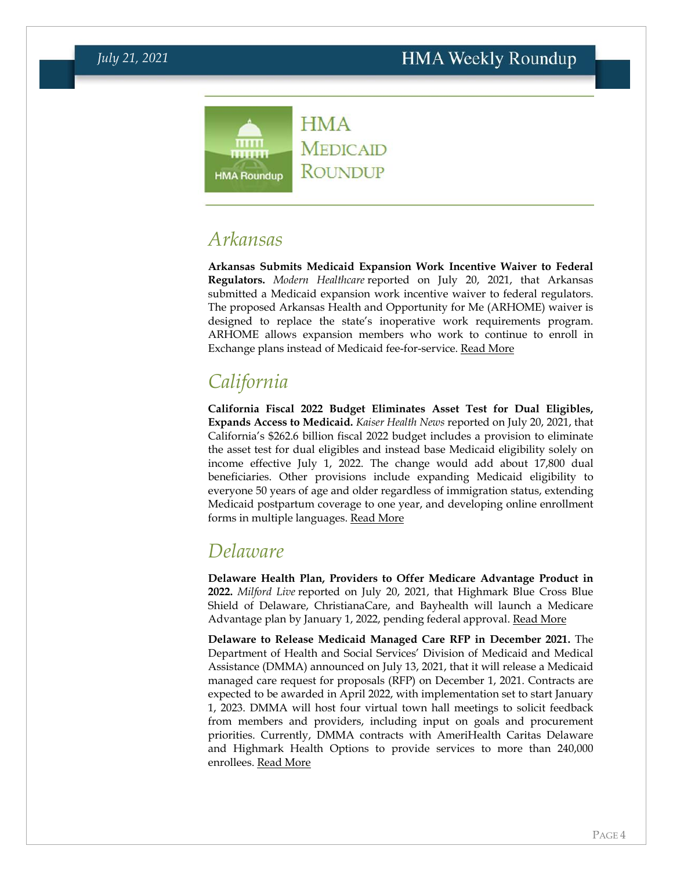

**MEDICAID ROUNDUP** 

### *Arkansas*

**Arkansas Submits Medicaid Expansion Work Incentive Waiver to Federal Regulators.** *Modern Healthcare* reported on July 20, 2021, that Arkansas submitted a Medicaid expansion work incentive waiver to federal regulators. The proposed Arkansas Health and Opportunity for Me (ARHOME) waiver is designed to replace the state's inoperative work requirements program. ARHOME allows expansion members who work to continue to enroll in Exchange plans instead of Medicaid fee-for-service. [Read More](https://www.modernhealthcare.com/medicaid/arkansas-submits-plan-overhauling-medicaid-expansion)

# <span id="page-3-0"></span>*California*

**California Fiscal 2022 Budget Eliminates Asset Test for Dual Eligibles, Expands Access to Medicaid.** *Kaiser Health News* reported on July 20, 2021, that California's \$262.6 billion fiscal 2022 budget includes a provision to eliminate the asset test for dual eligibles and instead base Medicaid eligibility solely on income effective July 1, 2022. The change would add about 17,800 dual beneficiaries. Other provisions include expanding Medicaid eligibility to everyone 50 years of age and older regardless of immigration status, extending Medicaid postpartum coverage to one year, and developing online enrollment forms in multiple languages. [Read More](https://khn.org/news/article/california-medicaid-asset-test-elimination-free-health-coverage-low-income-eligibility/)

### <span id="page-3-1"></span>*Delaware*

**Delaware Health Plan, Providers to Offer Medicare Advantage Product in 2022.** *Milford Live* reported on July 20, 2021, that Highmark Blue Cross Blue Shield of Delaware, ChristianaCare, and Bayhealth will launch a Medicare Advantage plan by January 1, 2022, pending federal approval. [Read More](https://milfordlive.com/christiana-care-bayhealth-blue-cross-join-to-offer-medicare-product/)

**Delaware to Release Medicaid Managed Care RFP in December 2021.** The Department of Health and Social Services' Division of Medicaid and Medical Assistance (DMMA) announced on July 13, 2021, that it will release a Medicaid managed care request for proposals (RFP) on December 1, 2021. Contracts are expected to be awarded in April 2022, with implementation set to start January 1, 2023. DMMA will host four virtual town hall meetings to solicit feedback from members and providers, including input on goals and procurement priorities. Currently, DMMA contracts with AmeriHealth Caritas Delaware and Highmark Health Options to provide services to more than 240,000 enrollees. [Read More](https://dhss.delaware.gov/dhss/dmma/files/mco_procurement_announcement_202107.pdf)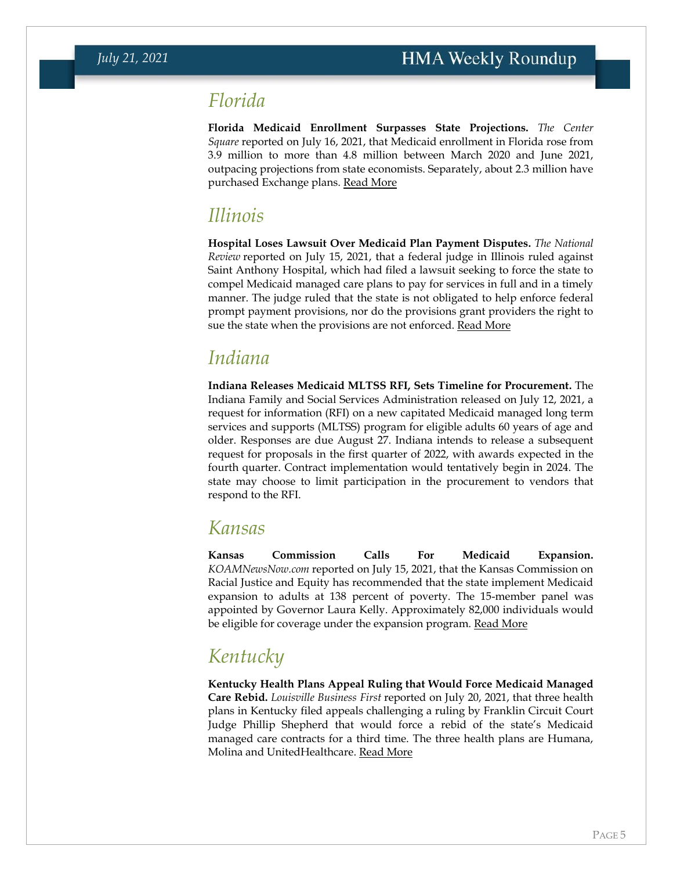#### <span id="page-4-0"></span>*Florida*

**Florida Medicaid Enrollment Surpasses State Projections.** *The Center Square* reported on July 16, 2021, that Medicaid enrollment in Florida rose from 3.9 million to more than 4.8 million between March 2020 and June 2021, outpacing projections from state economists. Separately, about 2.3 million have purchased Exchange plans. [Read More](https://www.thecentersquare.com/florida/florida-medicaid-enrollment-tops-4-8-million-surpassing-forecast-growth/article_2fc57242-e673-11eb-8fad-e7067aadfda3.html?web=1&wdLOR=c8F62EAF8-9A41-426A-9430-D831E5616018)

### *Illinois*

**Hospital Loses Lawsuit Over Medicaid Plan Payment Disputes.** *The National Review* reported on July 15, 2021, that a federal judge in Illinois ruled against Saint Anthony Hospital, which had filed a lawsuit seeking to force the state to compel Medicaid managed care plans to pay for services in full and in a timely manner. The judge ruled that the state is not obligated to help enforce federal prompt payment provisions, nor do the provisions grant providers the right to sue the state when the provisions are not enforced. [Read More](https://www.natlawreview.com/article/payment-dispute-medicaid-health-plan-state-not-obligated-to-help-according-to)

### <span id="page-4-1"></span>*Indiana*

**Indiana Releases Medicaid MLTSS RFI, Sets Timeline for Procurement.** The Indiana Family and Social Services Administration released on July 12, 2021, a request for information (RFI) on a new capitated Medicaid managed long term services and supports (MLTSS) program for eligible adults 60 years of age and older. Responses are due August 27. Indiana intends to release a subsequent request for proposals in the first quarter of 2022, with awards expected in the fourth quarter. Contract implementation would tentatively begin in 2024. The state may choose to limit participation in the procurement to vendors that respond to the RFI.

#### *Kansas*

**Kansas Commission Calls For Medicaid Expansion.**  *KOAMNewsNow.com* reported on July 15, 2021, that the Kansas Commission on Racial Justice and Equity has recommended that the state implement Medicaid expansion to adults at 138 percent of poverty. The 15-member panel was appointed by Governor Laura Kelly. Approximately 82,000 individuals would be eligible for coverage under the expansion program. [Read More](https://www.koamnewsnow.com/kansas-racial-justice-panel-recommends-medicaid-expansion/)

# <span id="page-4-2"></span>*Kentucky*

**Kentucky Health Plans Appeal Ruling that Would Force Medicaid Managed Care Rebid.** *Louisville Business First* reported on July 20, 2021, that three health plans in Kentucky filed appeals challenging a ruling by Franklin Circuit Court Judge Phillip Shepherd that would force a rebid of the state's Medicaid managed care contracts for a third time. The three health plans are Humana, Molina and UnitedHealthcare. [Read More](https://www.bizjournals.com/louisville/news/2021/07/20/medicaid-contract-fight-heads-to-appeals-court.html)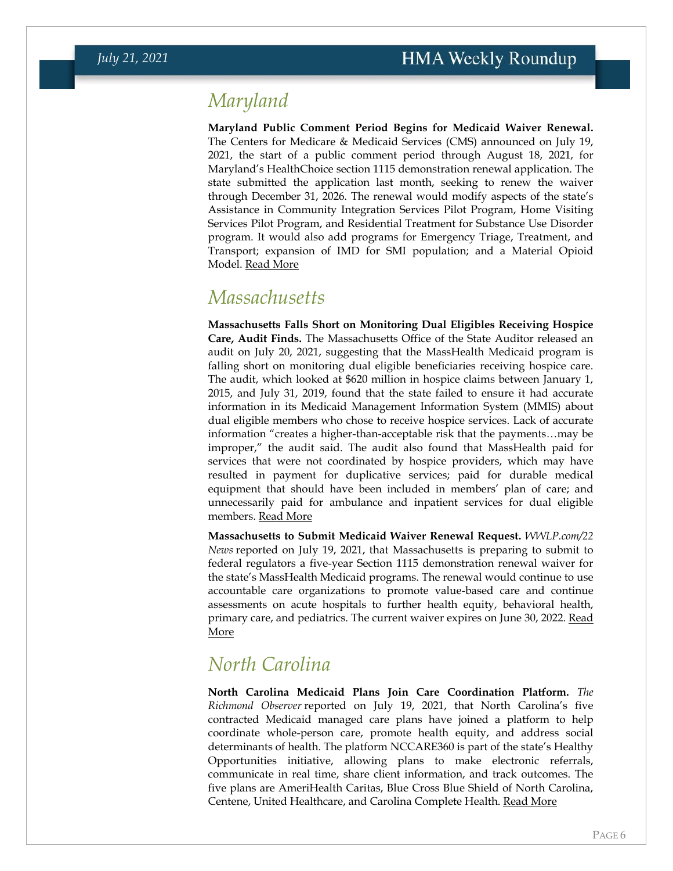### <span id="page-5-0"></span>*Maryland*

**Maryland Public Comment Period Begins for Medicaid Waiver Renewal.**  The Centers for Medicare & Medicaid Services (CMS) announced on July 19, 2021, the start of a public comment period through August 18, 2021, for Maryland's HealthChoice section 1115 demonstration renewal application. The state submitted the application last month, seeking to renew the waiver through December 31, 2026. The renewal would modify aspects of the state's Assistance in Community Integration Services Pilot Program, Home Visiting Services Pilot Program, and Residential Treatment for Substance Use Disorder program. It would also add programs for Emergency Triage, Treatment, and Transport; expansion of IMD for SMI population; and a Material Opioid Model. [Read More](https://content.govdelivery.com/accounts/USCMSMEDICAID/bulletins/2e8f92a)

#### *Massachusetts*

**Massachusetts Falls Short on Monitoring Dual Eligibles Receiving Hospice Care, Audit Finds.** The Massachusetts Office of the State Auditor released an audit on July 20, 2021, suggesting that the MassHealth Medicaid program is falling short on monitoring dual eligible beneficiaries receiving hospice care. The audit, which looked at \$620 million in hospice claims between January 1, 2015, and July 31, 2019, found that the state failed to ensure it had accurate information in its Medicaid Management Information System (MMIS) about dual eligible members who chose to receive hospice services. Lack of accurate information "creates a higher-than-acceptable risk that the payments…may be improper," the audit said. The audit also found that MassHealth paid for services that were not coordinated by hospice providers, which may have resulted in payment for duplicative services; paid for durable medical equipment that should have been included in members' plan of care; and unnecessarily paid for ambulance and inpatient services for dual eligible members. [Read More](https://www.mass.gov/audit/audit-of-the-office-of-medicaid-masshealth-payments-for-hospice-related-services-for-dual-eligible-members)

**Massachusetts to Submit Medicaid Waiver Renewal Request.** *WWLP.com/22 News* reported on July 19, 2021, that Massachusetts is preparing to submit to federal regulators a five-year Section 1115 demonstration renewal waiver for the state's MassHealth Medicaid programs. The renewal would continue to use accountable care organizations to promote value-based care and continue assessments on acute hospitals to further health equity, behavioral health, primary care, and pediatrics. The current waiver expires on June 30, 2022. Read [More](https://www.wwlp.com/news/health/admin-lays-out-strategy-for-next-masshealth-waiver-process/)

### <span id="page-5-1"></span>*North Carolina*

**North Carolina Medicaid Plans Join Care Coordination Platform.** *The Richmond Observer* reported on July 19, 2021, that North Carolina's five contracted Medicaid managed care plans have joined a platform to help coordinate whole-person care, promote health equity, and address social determinants of health. The platform NCCARE360 is part of the state's Healthy Opportunities initiative, allowing plans to make electronic referrals, communicate in real time, share client information, and track outcomes. The five plans are AmeriHealth Caritas, Blue Cross Blue Shield of North Carolina, Centene, United Healthcare, and Carolina Complete Health. [Read More](https://www.richmondobserver.com/national-news/item/12860-c-medicaid-health-plans-join-nccare360-to-improve-delivery-of-coordinated-medical-and-non-medical-care.html)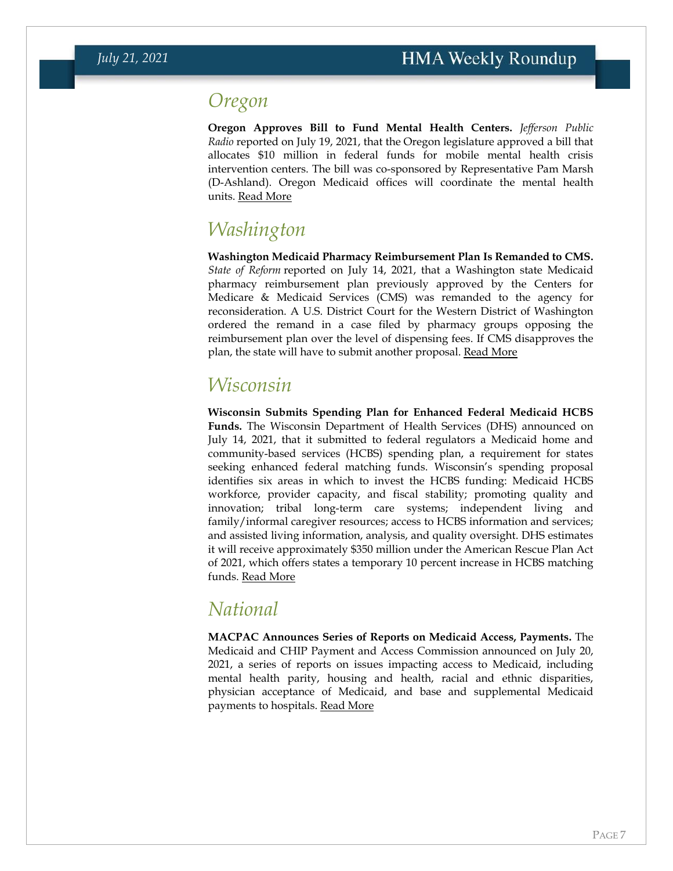#### *Oregon*

**Oregon Approves Bill to Fund Mental Health Centers.** *Jefferson Public Radio* reported on July 19, 2021, that the Oregon legislature approved a bill that allocates \$10 million in federal funds for mobile mental health crisis intervention centers. The bill was co-sponsored by Representative Pam Marsh (D-Ashland). Oregon Medicaid offices will coordinate the mental health units. [Read More](https://www.ijpr.org/health-and-medicine/2021-07-19/oregon-will-use-medicaid-funding-for-mental-health-emergency-response)

### <span id="page-6-0"></span>*Washington*

**Washington Medicaid Pharmacy Reimbursement Plan Is Remanded to CMS.**  *State of Reform* reported on July 14, 2021, that a Washington state Medicaid pharmacy reimbursement plan previously approved by the Centers for Medicare & Medicaid Services (CMS) was remanded to the agency for reconsideration. A U.S. District Court for the Western District of Washington ordered the remand in a case filed by pharmacy groups opposing the reimbursement plan over the level of dispensing fees. If CMS disapproves the plan, the state will have to submit another proposal. [Read More](https://stateofreform.com/featured/2021/07/federal-judge-sends-washingtons-below-cost-medicaid-pharmacy-reimbursement-plan-back-to-cms/)

#### *Wisconsin*

**Wisconsin Submits Spending Plan for Enhanced Federal Medicaid HCBS Funds.** The Wisconsin Department of Health Services (DHS) announced on July 14, 2021, that it submitted to federal regulators a Medicaid home and community-based services (HCBS) spending plan, a requirement for states seeking enhanced federal matching funds. Wisconsin's spending proposal identifies six areas in which to invest the HCBS funding: Medicaid HCBS workforce, provider capacity, and fiscal stability; promoting quality and innovation; tribal long-term care systems; independent living and family/informal caregiver resources; access to HCBS information and services; and assisted living information, analysis, and quality oversight. DHS estimates it will receive approximately \$350 million under the American Rescue Plan Act of 2021, which offers states a temporary 10 percent increase in HCBS matching funds. [Read More](https://www.dhs.wisconsin.gov/news/releases/071421a.htm)

### <span id="page-6-1"></span>*National*

**MACPAC Announces Series of Reports on Medicaid Access, Payments.** The Medicaid and CHIP Payment and Access Commission announced on July 20, 2021, a series of reports on issues impacting access to Medicaid, including mental health parity, housing and health, racial and ethnic disparities, physician acceptance of Medicaid, and base and supplemental Medicaid payments to hospitals. [Read More](https://www.macpac.gov/publication/)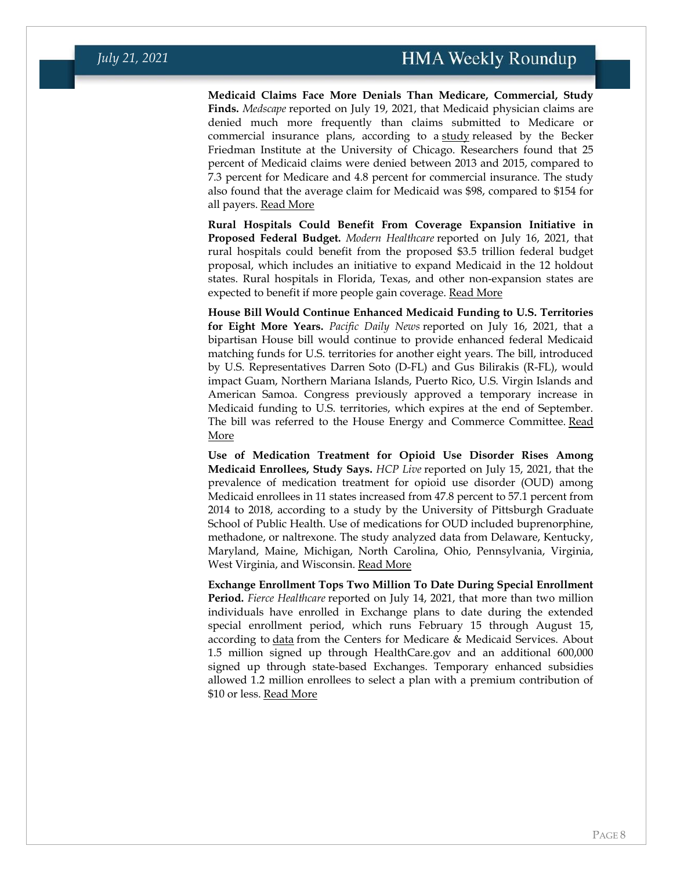**Medicaid Claims Face More Denials Than Medicare, Commercial, Study Finds.** *Medscape* reported on July 19, 2021, that Medicaid physician claims are denied much more frequently than claims submitted to Medicare or commercial insurance plans, according to a [study](https://bfi.uchicago.edu/wp-content/uploads/2021/07/BFI_WP_2021-80.pdf) released by the Becker Friedman Institute at the University of Chicago. Researchers found that 25 percent of Medicaid claims were denied between 2013 and 2015, compared to 7.3 percent for Medicare and 4.8 percent for commercial insurance. The study also found that the average claim for Medicaid was \$98, compared to \$154 for all payers. [Read More](https://www.medscape.com/viewarticle/954978)

**Rural Hospitals Could Benefit From Coverage Expansion Initiative in Proposed Federal Budget.** *Modern Healthcare* reported on July 16, 2021, that rural hospitals could benefit from the proposed \$3.5 trillion federal budget proposal, which includes an initiative to expand Medicaid in the 12 holdout states. Rural hospitals in Florida, Texas, and other non-expansion states are expected to benefit if more people gain coverage. [Read More](https://www.modernhealthcare.com/policy/congress-eyes-fix-medicaid-expansion-gap-would-boost-rural-hospitals)

**House Bill Would Continue Enhanced Medicaid Funding to U.S. Territories for Eight More Years.** *Pacific Daily News* reported on July 16, 2021, that a bipartisan House bill would continue to provide enhanced federal Medicaid matching funds for U.S. territories for another eight years. The bill, introduced by U.S. Representatives Darren Soto (D-FL) and Gus Bilirakis (R-FL), would impact Guam, Northern Mariana Islands, Puerto Rico, U.S. Virgin Islands and American Samoa. Congress previously approved a temporary increase in Medicaid funding to U.S. territories, which expires at the end of September. The bill was referred to the House Energy and Commerce Committee. [Read](https://www.guampdn.com/story/news/2021/07/16/federal-bill-extend-medicaid-territories-introduced/7987604002/)  [More](https://www.guampdn.com/story/news/2021/07/16/federal-bill-extend-medicaid-territories-introduced/7987604002/)

**Use of Medication Treatment for Opioid Use Disorder Rises Among Medicaid Enrollees, Study Says.** *HCP Live* reported on July 15, 2021, that the prevalence of medication treatment for opioid use disorder (OUD) among Medicaid enrollees in 11 states increased from 47.8 percent to 57.1 percent from 2014 to 2018, according to a study by the University of Pittsburgh Graduate School of Public Health. Use of medications for OUD included buprenorphine, methadone, or naltrexone. The study analyzed data from Delaware, Kentucky, Maryland, Maine, Michigan, North Carolina, Ohio, Pennsylvania, Virginia, West Virginia, and Wisconsin. [Read More](https://www.hcplive.com/view/opioid-use-medication-increased-2014-2018-medicaid-enrollees)

**Exchange Enrollment Tops Two Million To Date During Special Enrollment Period.** *Fierce Healthcare* reported on July 14, 2021, that more than two million individuals have enrolled in Exchange plans to date during the extended special enrollment period, which runs February 15 through August 15, according to *[data](https://www.cms.gov/newsroom/press-releases/health-care-sign-ups-surpass-2-million-during-2021-special-enrollment-period-ahead-aug-15-deadline)* from the Centers for Medicare & Medicaid Services. About 1.5 million signed up through HealthCare.gov and an additional 600,000 signed up through state-based Exchanges. Temporary enhanced subsidies allowed 1.2 million enrollees to select a plan with a premium contribution of \$10 or less. [Read More](https://www.fiercehealthcare.com/payer/cms-more-than-2m-have-signed-up-for-coverage-aca-exchanges-under-pandemic-sep)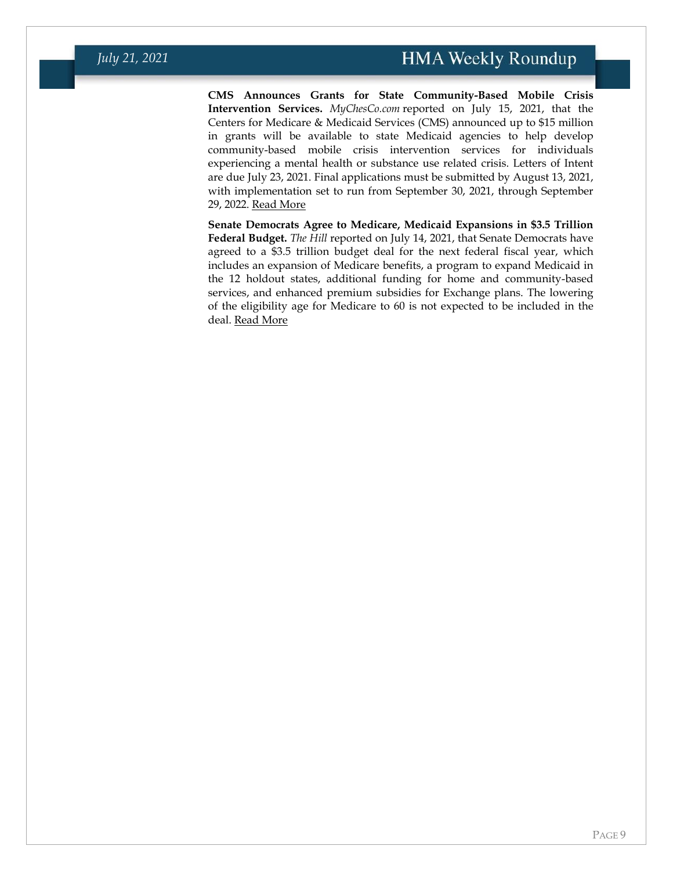**CMS Announces Grants for State Community-Based Mobile Crisis Intervention Services.** *MyChesCo.com* reported on July 15, 2021, that the Centers for Medicare & Medicaid Services (CMS) announced up to \$15 million in grants will be available to state Medicaid agencies to help develop community-based mobile crisis intervention services for individuals experiencing a mental health or substance use related crisis. Letters of Intent are due July 23, 2021. Final applications must be submitted by August 13, 2021, with implementation set to run from September 30, 2021, through September 29, 2022. [Read More](https://www.mychesco.com/a/news/national/15-million-in-funding-to-address-substance-use-mental-health-crisis-care-for-those-with-medicaid/)

**Senate Democrats Agree to Medicare, Medicaid Expansions in \$3.5 Trillion Federal Budget.** *The Hill* reported on July 14, 2021, that Senate Democrats have agreed to a \$3.5 trillion budget deal for the next federal fiscal year, which includes an expansion of Medicare benefits, a program to expand Medicaid in the 12 holdout states, additional funding for home and community-based services, and enhanced premium subsidies for Exchange plans. The lowering of the eligibility age for Medicare to 60 is not expected to be included in the deal. [Read More](https://thehill.com/policy/healthcare/563048-senate-budget-deal-to-provide-new-funding-for-medicare-medicaid-obamacare)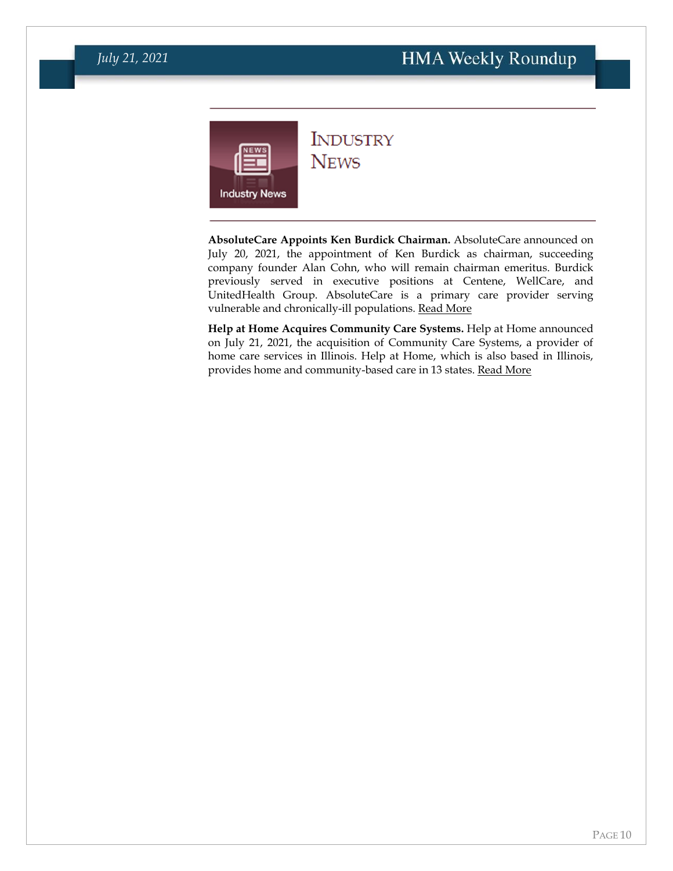<span id="page-9-0"></span>

#### **INDUSTRY NEWS**

**AbsoluteCare Appoints Ken Burdick Chairman.** AbsoluteCare announced on July 20, 2021, the appointment of Ken Burdick as chairman, succeeding company founder Alan Cohn, who will remain chairman emeritus. Burdick previously served in executive positions at Centene, WellCare, and UnitedHealth Group. AbsoluteCare is a primary care provider serving vulnerable and chronically-ill populations. [Read More](https://www.prnewswire.com/news-releases/absolutecare-announces-kenneth-burdick-as-chairman-of-the-board-301337171.html)

**Help at Home Acquires Community Care Systems.** Help at Home announced on July 21, 2021, the acquisition of Community Care Systems, a provider of home care services in Illinois. Help at Home, which is also based in Illinois, provides home and community-based care in 13 states. [Read More](https://www.prnewswire.com/news-releases/help-at-home-acquires-community-care-systems-inc-301338769.html)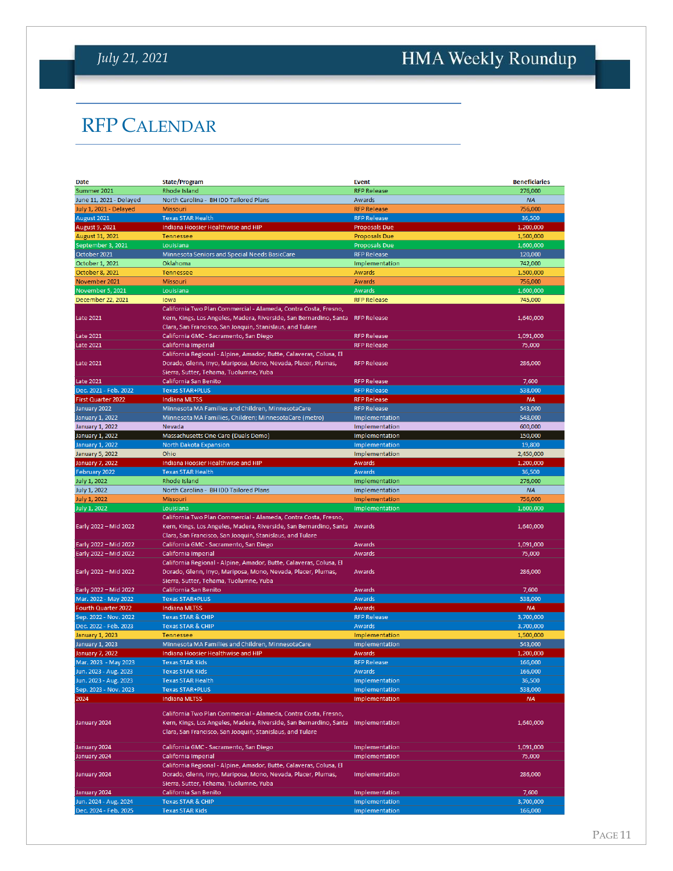# <span id="page-10-0"></span>HMA Weekly Roundup

# RFP CALENDAR

| <b>Date</b>                                    | <b>State/Program</b>                                                           | <b>Event</b>                     | <b>Beneficiaries</b> |
|------------------------------------------------|--------------------------------------------------------------------------------|----------------------------------|----------------------|
| Summer 2021                                    | Rhode Island                                                                   | <b>RFP Release</b>               | 276,000              |
| June 11, 2021 - Delayed                        | North Carolina - BH IDD Tailored Plans                                         | Awards                           | <b>NA</b>            |
| July 1, 2021 - Delayed                         | <b>Missouri</b>                                                                | <b>RFP Release</b>               | 756,000              |
| August 2021                                    | <b>Texas STAR Health</b>                                                       | <b>RFP Release</b>               | 36,500               |
| August 9, 2021                                 | Indiana Hoosier Healthwise and HIP                                             | <b>Proposals Due</b>             | 1,200,000            |
| August 31, 2021                                | Tennessee                                                                      | <b>Proposals Due</b>             | 1,500,000            |
| September 3, 2021                              | Louisiana                                                                      | <b>Proposals Due</b>             | 1,600,000            |
| October 2021                                   | Minnesota Seniors and Special Needs BasicCare                                  | <b>RFP Release</b>               | 120,000              |
| October 1, 2021                                | Oklahoma                                                                       | Implementation                   | 742,000              |
| October 8, 2021                                | <b>Tennessee</b>                                                               | Awards                           | 1,500,000            |
| November 2021                                  | Missouri                                                                       | Awards                           | 756,000              |
| November 5, 2021                               | Louisiana                                                                      | Awards                           | 1,600,000            |
|                                                | lowa                                                                           | <b>RFP Release</b>               | 745,000              |
| December 22, 2021                              |                                                                                |                                  |                      |
|                                                | California Two Plan Commercial - Alameda, Contra Costa, Fresno,                |                                  |                      |
| <b>Late 2021</b>                               | Kern, Kings, Los Angeles, Madera, Riverside, San Bernardino, Santa RFP Release |                                  | 1,640,000            |
|                                                | Clara, San Francisco, San Joaquin, Stanislaus, and Tulare                      |                                  |                      |
| <b>Late 2021</b>                               | California GMC - Sacramento, San Diego                                         | <b>RFP Release</b>               | 1,091,000            |
| <b>Late 2021</b>                               | California Imperial                                                            | <b>RFP Release</b>               | 75,000               |
|                                                | California Regional - Alpine, Amador, Butte, Calaveras, Colusa, El             |                                  |                      |
| <b>Late 2021</b>                               | Dorado, Glenn, Inyo, Mariposa, Mono, Nevada, Placer, Plumas,                   | <b>RFP Release</b>               | 286,000              |
|                                                | Sierra, Sutter, Tehama, Tuolumne, Yuba                                         |                                  |                      |
| <b>Late 2021</b>                               | California San Benito                                                          | <b>RFP Release</b>               | 7,600                |
| Dec. 2021 - Feb. 2022                          | <b>Texas STAR+PLUS</b>                                                         | <b>RFP Release</b>               | 538,000              |
| <b>First Quarter 2022</b>                      | <b>Indiana MLTSS</b>                                                           | <b>RFP Release</b>               | <b>NA</b>            |
| January 2022                                   | Minnesota MA Families and Children, MinnesotaCare                              | <b>RFP Release</b>               | 543,000              |
| <b>January 1, 2022</b>                         | Minnesota MA Families, Children; MinnesotaCare (metro)                         | Implementation                   | 548,000              |
| January 1, 2022                                | Nevada                                                                         | Implementation                   | 600,000              |
| <b>January 1, 2022</b>                         | Massachusetts One Care (Duals Demo)                                            | Implementation                   | 150,000              |
| <b>January 1, 2022</b>                         | North Dakota Expansion                                                         | Implementation                   | 19,800               |
|                                                | Ohio                                                                           | Implementation                   |                      |
| <b>January 5, 2022</b>                         |                                                                                |                                  | 2,450,000            |
| <b>January 7, 2022</b>                         | Indiana Hoosier Healthwise and HIP                                             | <b>Awards</b>                    | 1,200,000            |
| February 2022                                  | <b>Texas STAR Health</b>                                                       | Awards                           | 36,500               |
| July 1, 2022                                   | Rhode Island                                                                   | Implementation                   | 276,000              |
| <b>July 1, 2022</b>                            | North Carolina - BH IDD Tailored Plans                                         | Implementation                   | <b>NA</b>            |
|                                                |                                                                                |                                  |                      |
| <b>July 1, 2022</b>                            | Missouri                                                                       | Implementation                   | 756,000              |
| July 1, 2022                                   | Louisiana                                                                      | Implementation                   | 1,600,000            |
|                                                | California Two Plan Commercial - Alameda, Contra Costa, Fresno,                |                                  |                      |
| Early 2022 - Mid 2022                          | Kern, Kings, Los Angeles, Madera, Riverside, San Bernardino, Santa             | Awards                           | 1,640,000            |
|                                                | Clara, San Francisco, San Joaquin, Stanislaus, and Tulare                      |                                  |                      |
| Early 2022 - Mid 2022                          | California GMC - Sacramento, San Diego                                         | <b>Awards</b>                    | 1,091,000            |
|                                                | California Imperial                                                            | Awards                           | 75,000               |
| Early 2022 - Mid 2022                          |                                                                                |                                  |                      |
|                                                | California Regional - Alpine, Amador, Butte, Calaveras, Colusa, El             |                                  |                      |
| Early 2022 - Mid 2022                          | Dorado, Glenn, Inyo, Mariposa, Mono, Nevada, Placer, Plumas,                   | Awards                           | 286,000              |
|                                                | Sierra, Sutter, Tehama, Tuolumne, Yuba                                         |                                  |                      |
| Early 2022 - Mid 2022                          | California San Benito                                                          | Awards                           | 7,600                |
| Mar. 2022 - May 2022                           | <b>Texas STAR+PLUS</b>                                                         | <b>Awards</b>                    | 538,000              |
| Fourth Quarter 2022                            | <b>Indiana MLTSS</b>                                                           | Awards                           | <b>NA</b>            |
| Sep. 2022 - Nov. 2022                          | <b>Texas STAR &amp; CHIP</b>                                                   | <b>RFP Release</b>               | 3,700,000            |
| Dec. 2022 - Feb. 2023                          | <b>Texas STAR &amp; CHIP</b>                                                   | Awards                           | 3,700,000            |
| January 1, 2023                                | Tennessee                                                                      | Implementation                   | 1,500,000            |
| January 1, 2023                                | Minnesota MA Families and Children, MinnesotaCare                              | Implementation                   | 543,000              |
| January 7, 2022                                | Indiana Hoosier Healthwise and HIP                                             | Awards                           | 1,200,000            |
| Mar. 2023 - May 2023                           | <b>Texas STAR Kids</b>                                                         | <b>RFP Release</b>               | 166,000              |
| Jun. 2023 - Aug. 2023                          | <b>Texas STAR Kids</b>                                                         | Awards                           | 166,000              |
| Jun. 2023 - Aug. 2023                          | <b>Texas STAR Health</b>                                                       | Implementation                   | 36,500               |
| Sep. 2023 - Nov. 2023                          | <b>Texas STAR+PLUS</b>                                                         | Implementation                   | 538.000              |
| 2024                                           | <b>Indiana MLTSS</b>                                                           | Implementation                   | <b>NA</b>            |
|                                                |                                                                                |                                  |                      |
|                                                | California Two Plan Commercial - Alameda, Contra Costa, Fresno,                |                                  |                      |
| January 2024                                   | Kern, Kings, Los Angeles, Madera, Riverside, San Bernardino, Santa             | Implementation                   | 1,640,000            |
|                                                | Clara, San Francisco, San Joaquin, Stanislaus, and Tulare                      |                                  |                      |
|                                                |                                                                                |                                  |                      |
| January 2024                                   | California GMC - Sacramento, San Diego                                         | Implementation                   | 1,091,000            |
| January 2024                                   | California Imperial                                                            | Implementation                   | 75,000               |
|                                                | California Regional - Alpine, Amador, Butte, Calaveras, Colusa, El             |                                  |                      |
| January 2024                                   | Dorado, Glenn, Inyo, Mariposa, Mono, Nevada, Placer, Plumas,                   | Implementation                   | 286,000              |
|                                                | Sierra, Sutter, Tehama, Tuolumne, Yuba                                         |                                  |                      |
| January 2024                                   | California San Benito                                                          | Implementation                   | 7,600                |
| Jun. 2024 - Aug. 2024<br>Dec. 2024 - Feb. 2025 | <b>Texas STAR &amp; CHIP</b><br><b>Texas STAR Kids</b>                         | Implementation<br>Implementation | 3,700,000<br>166,000 |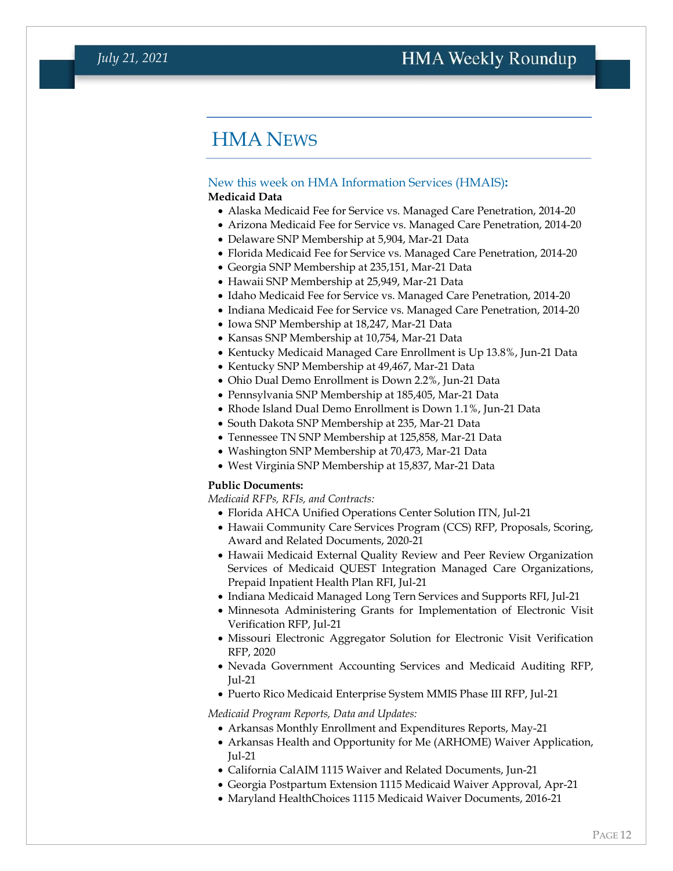### HMA NEWS

#### <span id="page-11-0"></span>New this week on HMA Information Services (HMAIS)**: Medicaid Data**

- Alaska Medicaid Fee for Service vs. Managed Care Penetration, 2014-20
- Arizona Medicaid Fee for Service vs. Managed Care Penetration, 2014-20
- Delaware SNP Membership at 5,904, Mar-21 Data
- Florida Medicaid Fee for Service vs. Managed Care Penetration, 2014-20
- Georgia SNP Membership at 235,151, Mar-21 Data
- Hawaii SNP Membership at 25,949, Mar-21 Data
- Idaho Medicaid Fee for Service vs. Managed Care Penetration, 2014-20
- Indiana Medicaid Fee for Service vs. Managed Care Penetration, 2014-20
- Iowa SNP Membership at 18,247, Mar-21 Data
- Kansas SNP Membership at 10,754, Mar-21 Data
- Kentucky Medicaid Managed Care Enrollment is Up 13.8%, Jun-21 Data
- Kentucky SNP Membership at 49,467, Mar-21 Data
- Ohio Dual Demo Enrollment is Down 2.2%, Jun-21 Data
- Pennsylvania SNP Membership at 185,405, Mar-21 Data
- Rhode Island Dual Demo Enrollment is Down 1.1%, Jun-21 Data
- South Dakota SNP Membership at 235, Mar-21 Data
- Tennessee TN SNP Membership at 125,858, Mar-21 Data
- Washington SNP Membership at 70,473, Mar-21 Data
- West Virginia SNP Membership at 15,837, Mar-21 Data

#### **Public Documents:**

*Medicaid RFPs, RFIs, and Contracts:*

- Florida AHCA Unified Operations Center Solution ITN, Jul-21
- Hawaii Community Care Services Program (CCS) RFP, Proposals, Scoring, Award and Related Documents, 2020-21
- Hawaii Medicaid External Quality Review and Peer Review Organization Services of Medicaid QUEST Integration Managed Care Organizations, Prepaid Inpatient Health Plan RFI, Jul-21
- Indiana Medicaid Managed Long Tern Services and Supports RFI, Jul-21
- Minnesota Administering Grants for Implementation of Electronic Visit Verification RFP, Jul-21
- Missouri Electronic Aggregator Solution for Electronic Visit Verification RFP, 2020
- Nevada Government Accounting Services and Medicaid Auditing RFP, Jul-21
- Puerto Rico Medicaid Enterprise System MMIS Phase III RFP, Jul-21

#### *Medicaid Program Reports, Data and Updates:*

- Arkansas Monthly Enrollment and Expenditures Reports, May-21
- Arkansas Health and Opportunity for Me (ARHOME) Waiver Application, Jul-21
- California CalAIM 1115 Waiver and Related Documents, Jun-21
- Georgia Postpartum Extension 1115 Medicaid Waiver Approval, Apr-21
- Maryland HealthChoices 1115 Medicaid Waiver Documents, 2016-21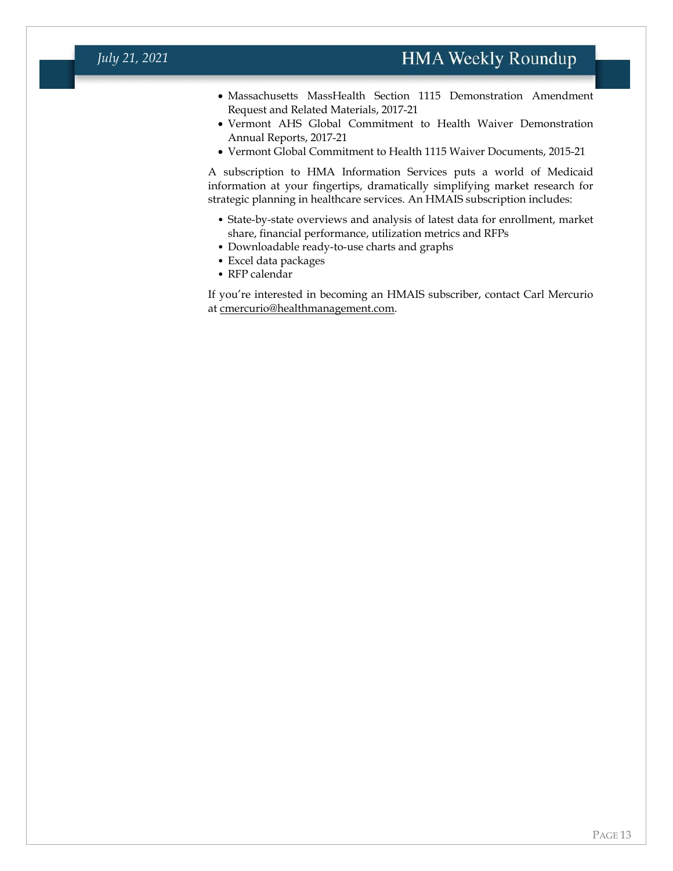#### *July 21, 2021*

- Massachusetts MassHealth Section 1115 Demonstration Amendment Request and Related Materials, 2017-21
- Vermont AHS Global Commitment to Health Waiver Demonstration Annual Reports, 2017-21
- Vermont Global Commitment to Health 1115 Waiver Documents, 2015-21

A subscription to HMA Information Services puts a world of Medicaid information at your fingertips, dramatically simplifying market research for strategic planning in healthcare services. An HMAIS subscription includes:

- State-by-state overviews and analysis of latest data for enrollment, market share, financial performance, utilization metrics and RFPs
- Downloadable ready-to-use charts and graphs
- Excel data packages
- RFP calendar

If you're interested in becoming an HMAIS subscriber, contact Carl Mercurio at [cmercurio@healthmanagement.com.](mailto:cmercurio@healthmanagement.com)